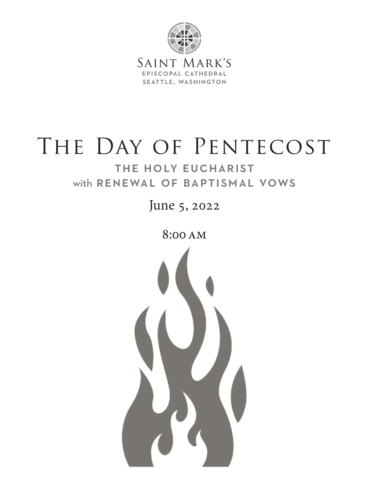

# THE DAY OF PENTECOST

### THE HOLY EUCHARIST with RENEWAL OF BAPTISMAL VOWS

June 5, 2022

8:00am

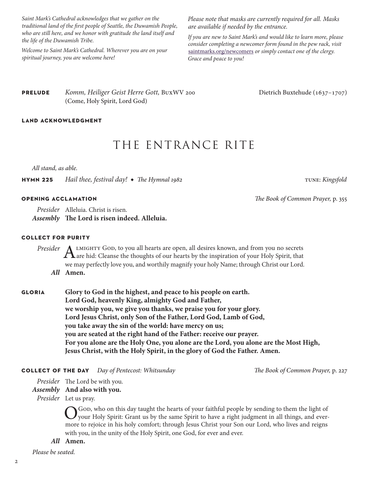*Saint Mark's Cathedral acknowledges that we gather on the traditional land of the first people of Seattle, the Duwamish People, who are still here, and we honor with gratitude the land itself and the life of the Duwamish Tribe.*

*Welcome to Saint Mark's Cathedral. Wherever you are on your spiritual journey, you are welcome here!*

*Please note that masks are currently required for all. Masks are available if needed by the entrance.*

*If you are new to Saint Mark's and would like to learn more, please consider completing a newcomer form found in the pew rack, visit*  saintmarks.org/newcomers *or simply contact one of the clergy. Grace and peace to you!*

### **PRELUDE** *Komm, Heiliger Geist Herre Gott, BuxWV 200* Dietrich Buxtehude (1637–1707) (Come, Holy Spirit, Lord God)

### **land acknowledgment**

### THE ENTRANCE RITE

*All stand, as able.*

**hymn 225** *Hail thee, festival day! ◆ The Hymnal 1982* tune: *Kingsfold* tune: *Kingsfold* 

*Presider* Alleluia. Christ is risen. *Assembly* **The Lord is risen indeed. Alleluia.**

### **collect for purity**

A LMIGHTY GOD, to you all hearts are open, all desires known, and from you no secrets are hid: Cleanse the thoughts of our hearts by the inspiration of your Holy Spirit, that we may perfectly love you, and worthily magnify your holy Name; through Christ our Lord. *Presider* A LMIGHTY GOD, to you all hearts are open, all desires known, and from you no secrets

*All* **Amen.**

**gloria Glory to God in the highest, and peace to his people on earth. Lord God, heavenly King, almighty God and Father, we worship you, we give you thanks, we praise you for your glory. Lord Jesus Christ, only Son of the Father, Lord God, Lamb of God, you take away the sin of the world: have mercy on us; you are seated at the right hand of the Father: receive our prayer. For you alone are the Holy One, you alone are the Lord, you alone are the Most High, Jesus Christ, with the Holy Spirit, in the glory of God the Father. Amen.**

#### **collect of the day** *Day of Pentecost: Whitsunday The Book of Common Prayer,* p. 227

*Presider* The Lord be with you.

### *Assembly* **And also with you.**

*Presider* Let us pray.

O God, who on this day taught the hearts of your faithful people by sending to them the light of your Holy Spirit: Grant us by the same Spirit to have a right judgment in all things, and evermore to rejoice in his holy comfort; through Jesus Christ your Son our Lord, who lives and reigns with you, in the unity of the Holy Spirit, one God, for ever and ever.

### *All* **Amen.**

*Please be seated.*

**opening acclamation** *The Book of Common Prayer,* p. 355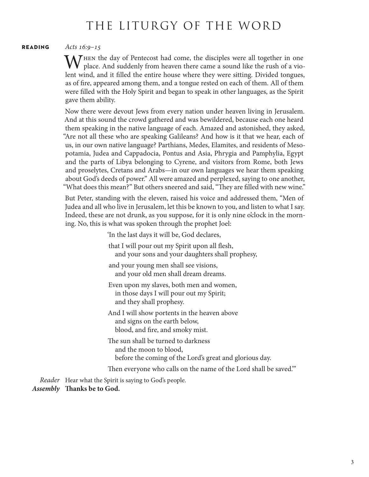### THE LITURGY OF THE WORD

### **reading** *Acts 16:9–15*

WHEN the day of Pentecost had come, the disciples were all together in one place. And suddenly from heaven there came a sound like the rush of a violent wind, and it filled the entire house where they were sitting. Divided tongues, as of fire, appeared among them, and a tongue rested on each of them. All of them were filled with the Holy Spirit and began to speak in other languages, as the Spirit gave them ability.

Now there were devout Jews from every nation under heaven living in Jerusalem. And at this sound the crowd gathered and was bewildered, because each one heard them speaking in the native language of each. Amazed and astonished, they asked, "Are not all these who are speaking Galileans? And how is it that we hear, each of us, in our own native language? Parthians, Medes, Elamites, and residents of Mesopotamia, Judea and Cappadocia, Pontus and Asia, Phrygia and Pamphylia, Egypt and the parts of Libya belonging to Cyrene, and visitors from Rome, both Jews and proselytes, Cretans and Arabs—in our own languages we hear them speaking about God's deeds of power." All were amazed and perplexed, saying to one another, "What does this mean?" But others sneered and said, "They are filled with new wine."

But Peter, standing with the eleven, raised his voice and addressed them, "Men of Judea and all who live in Jerusalem, let this be known to you, and listen to what I say. Indeed, these are not drunk, as you suppose, for it is only nine o'clock in the morning. No, this is what was spoken through the prophet Joel:

'In the last days it will be, God declares,

that I will pour out my Spirit upon all flesh, and your sons and your daughters shall prophesy,

and your young men shall see visions, and your old men shall dream dreams.

Even upon my slaves, both men and women, in those days I will pour out my Spirit; and they shall prophesy.

And I will show portents in the heaven above and signs on the earth below, blood, and fire, and smoky mist.

The sun shall be turned to darkness and the moon to blood, before the coming of the Lord's great and glorious day.

Then everyone who calls on the name of the Lord shall be saved."

*Reader* Hear what the Spirit is saying to God's people.

*Assembly* **Thanks be to God.**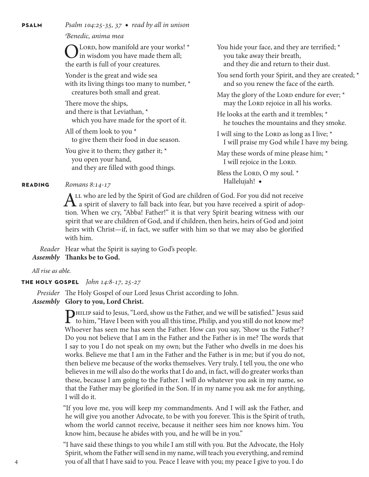### **psalm** *Psalm 104:25-35, 37* ◆ *read by all in unison*

*Benedic, anima mea*

LORD, how manifold are your works!  $*$ in wisdom you have made them all; the earth is full of your creatures.

Yonder is the great and wide sea with its living things too many to number, \* creatures both small and great.

There move the ships, and there is that Leviathan, \* which you have made for the sport of it.

All of them look to you \* to give them their food in due season.

You give it to them; they gather it; \* you open your hand, and they are filled with good things. You hide your face, and they are terrified;  $*$  you take away their breath, and they die and return to their dust.

You send forth your Spirit, and they are created; \* and so you renew the face of the earth.

May the glory of the LORD endure for ever;  $*$ may the LORD rejoice in all his works.

He looks at the earth and it trembles; \* he touches the mountains and they smoke.

I will sing to the LORD as long as I live;  $*$ I will praise my God while I have my being.

May these words of mine please him; \* I will rejoice in the LORD.

Bless the LORD, O my soul.  $*$ Hallelujah! ◆

### **reading** *Romans 8:14-17*

ALL who are led by the Spirit of God are children of God. For you did not receive<br>a spirit of slavery to fall back into fear, but you have received a spirit of adoption. When we cry, "Abba! Father!" it is that very Spirit bearing witness with our spirit that we are children of God, and if children, then heirs, heirs of God and joint heirs with Christ—if, in fact, we suffer with him so that we may also be glorified with him.

*Reader* Hear what the Spirit is saying to God's people.

*Assembly* **Thanks be to God.**

*All rise as able.*

### **the holy gospel** *John 14:8-17, 25-27*

*Presider* The Holy Gospel of our Lord Jesus Christ according to John.

*Assembly* **Glory to you, Lord Christ.**

PHILIP said to Jesus, "Lord, show us the Father, and we will be satisfied." Jesus said<br>to him, "Have I been with you all this time, Philip, and you still do not know me?<br>When we have seen we have seen the Father H. Whoever has seen me has seen the Father. How can you say, 'Show us the Father'? Do you not believe that I am in the Father and the Father is in me? The words that I say to you I do not speak on my own; but the Father who dwells in me does his works. Believe me that I am in the Father and the Father is in me; but if you do not, then believe me because of the works themselves. Very truly, I tell you, the one who believes in me will also do the works that I do and, in fact, will do greater works than these, because I am going to the Father. I will do whatever you ask in my name, so that the Father may be glorified in the Son. If in my name you ask me for anything, I will do it.

"If you love me, you will keep my commandments. And I will ask the Father, and he will give you another Advocate, to be with you forever. This is the Spirit of truth, whom the world cannot receive, because it neither sees him nor knows him. You know him, because he abides with you, and he will be in you."

"I have said these things to you while I am still with you. But the Advocate, the Holy Spirit, whom the Father will send in my name, will teach you everything, and remind you of all that I have said to you. Peace I leave with you; my peace I give to you. I do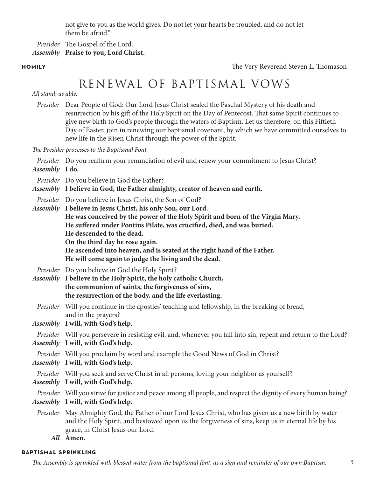not give to you as the world gives. Do not let your hearts be troubled, and do not let them be afraid."

*Presider* The Gospel of the Lord.

*Assembly* **Praise to you, Lord Christ.**

**homily** The Very Reverend Steven L. Thomason

# RENEWAL OF BAPTISMAL VOWS

### *All stand, as able.*

*Presider* Dear People of God: Our Lord Jesus Christ sealed the Paschal Mystery of his death and resurrection by his gift of the Holy Spirit on the Day of Pentecost. That same Spirit continues to give new birth to God's people through the waters of Baptism. Let us therefore, on this Fiftieth Day of Easter, join in renewing our baptismal covenant, by which we have committed ourselves to new life in the Risen Christ through the power of the Spirit.

*The Presider processes to the Baptismal Font.*

| Assembly I do. | Presider Do you reaffirm your renunciation of evil and renew your commitment to Jesus Christ?                                                                                                                                                                                                                                                                                                                                                                                         |
|----------------|---------------------------------------------------------------------------------------------------------------------------------------------------------------------------------------------------------------------------------------------------------------------------------------------------------------------------------------------------------------------------------------------------------------------------------------------------------------------------------------|
|                | Presider Do you believe in God the Father?<br>Assembly I believe in God, the Father almighty, creator of heaven and earth.                                                                                                                                                                                                                                                                                                                                                            |
|                | Presider Do you believe in Jesus Christ, the Son of God?<br>Assembly I believe in Jesus Christ, his only Son, our Lord.<br>He was conceived by the power of the Holy Spirit and born of the Virgin Mary.<br>He suffered under Pontius Pilate, was crucified, died, and was buried.<br>He descended to the dead.<br>On the third day he rose again.<br>He ascended into heaven, and is seated at the right hand of the Father.<br>He will come again to judge the living and the dead. |
|                | Presider Do you believe in God the Holy Spirit?<br>Assembly I believe in the Holy Spirit, the holy catholic Church,<br>the communion of saints, the forgiveness of sins,<br>the resurrection of the body, and the life everlasting.                                                                                                                                                                                                                                                   |
|                | Presider Will you continue in the apostles' teaching and fellowship, in the breaking of bread,<br>and in the prayers?<br>Assembly I will, with God's help.                                                                                                                                                                                                                                                                                                                            |
|                | Presider Will you persevere in resisting evil, and, whenever you fall into sin, repent and return to the Lord?<br>Assembly I will, with God's help.                                                                                                                                                                                                                                                                                                                                   |
|                | Presider Will you proclaim by word and example the Good News of God in Christ?<br>Assembly I will, with God's help.                                                                                                                                                                                                                                                                                                                                                                   |
|                | Presider Will you seek and serve Christ in all persons, loving your neighbor as yourself?<br>Assembly I will, with God's help.                                                                                                                                                                                                                                                                                                                                                        |
|                | Presider Will you strive for justice and peace among all people, and respect the dignity of every human being?<br>Assembly I will, with God's help.                                                                                                                                                                                                                                                                                                                                   |
|                | Presider May Almighty God, the Father of our Lord Jesus Christ, who has given us a new birth by water<br>and the Holy Spirit, and bestowed upon us the forgiveness of sins, keep us in eternal life by his<br>grace, in Christ Jesus our Lord.<br>All Amen.                                                                                                                                                                                                                           |

### **baptismal sprinkling**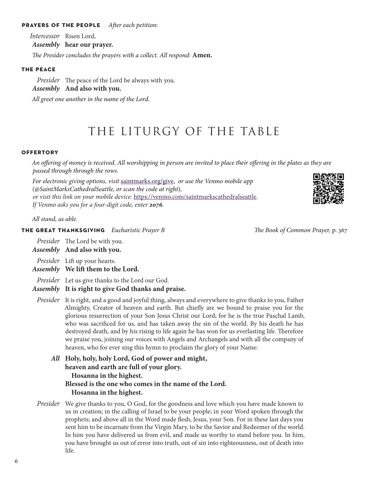### **prayers of the people** *After each petition:*

*Intercessor* Risen Lord, *Assembly* **hear our prayer.**

*The Presider concludes the prayers with a collect. All respond:* **Amen.**

### **the peace**

*Presider* The peace of the Lord be always with you.

*Assembly* **And also with you.**

*All greet one another in the name of the Lord.*

## THE LITURGY OF THE TABLE

#### **offertory**

*An offering of money is received. All worshipping in person are invited to place their offering in the plates as they are passed through through the rows.* 

*For electronic giving options, visit* saintmarks.org/give, *or use the Venmo mobile app*  (*@SaintMarksCathedralSeattle, or scan the code at right*)*, or visit this link on your mobile device:* https://venmo.com/saintmarkscathedralseattle*. If Venmo asks you for a four-digit code, enter 2076.*



**the great thanksgiving** *Eucharistic Prayer B The Book of Common Prayer,* p. 367

*Presider* The Lord be with you.

*Assembly* **And also with you.** 

*Presider* Lift up your hearts.

*Assembly* **We lift them to the Lord.** 

*Presider* Let us give thanks to the Lord our God.

*Assembly* **It is right to give God thanks and praise.**

*Presider* It is right, and a good and joyful thing, always and everywhere to give thanks to you, Father Almighty, Creator of heaven and earth. But chiefly are we bound to praise you for the glorious resurrection of your Son Jesus Christ our Lord; for he is the true Paschal Lamb, who was sacrificed for us, and has taken away the sin of the world. By his death he has destroyed death, and by his rising to life again he has won for us everlasting life. Therefore we praise you, joining our voices with Angels and Archangels and with all the company of heaven, who for ever sing this hymn to proclaim the glory of your Name:

*All* **Holy, holy, holy Lord, God of power and might, heaven and earth are full of your glory. Hosanna in the highest. Blessed is the one who comes in the name of the Lord. Hosanna in the highest.**

*Presider* We give thanks to you, O God, for the goodness and love which you have made known to us in creation; in the calling of Israel to be your people; in your Word spoken through the prophets; and above all in the Word made flesh, Jesus, your Son. For in these last days you sent him to be incarnate from the Virgin Mary, to be the Savior and Redeemer of the world. In him you have delivered us from evil, and made us worthy to stand before you. In him, you have brought us out of error into truth, out of sin into righteousness, out of death into life.

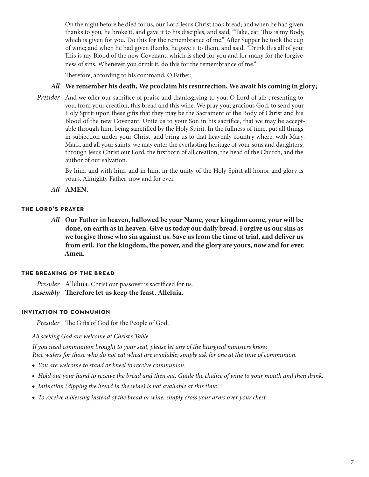On the night before he died for us, our Lord Jesus Christ took bread; and when he had given thanks to you, he broke it, and gave it to his disciples, and said, "Take, eat: This is my Body, which is given for you. Do this for the remembrance of me." After Supper he took the cup of wine; and when he had given thanks, he gave it to them, and said, "Drink this all of you: This is my Blood of the new Covenant, which is shed for you and for many for the forgiveness of sins. Whenever you drink it, do this for the remembrance of me."

Therefore, according to his command, O Father,

### *All* **We remember his death, We proclaim his resurrection, We await his coming in glory;**

*Presider* And we offer our sacrifice of praise and thanksgiving to you, O Lord of all; presenting to you, from your creation, this bread and this wine. We pray you, gracious God, to send your Holy Spirit upon these gifts that they may be the Sacrament of the Body of Christ and his Blood of the new Covenant. Unite us to your Son in his sacrifice, that we may be acceptable through him, being sanctified by the Holy Spirit. In the fullness of time, put all things in subjection under your Christ, and bring us to that heavenly country where, with Mary, Mark, and all your saints, we may enter the everlasting heritage of your sons and daughters; through Jesus Christ our Lord, the firstborn of all creation, the head of the Church, and the author of our salvation.

> By him, and with him, and in him, in the unity of the Holy Spirit all honor and glory is yours, Almighty Father, now and for ever.

*All* **AMEN.**

### **the lord's prayer**

*All* **Our Father in heaven, hallowed be your Name, your kingdom come, your will be done, on earth as in heaven. Give us today our daily bread. Forgive us our sins as we forgive those who sin against us. Save us from the time of trial, and deliver us from evil. For the kingdom, the power, and the glory are yours, now and for ever. Amen.**

### **the breaking of the bread**

*Presider* Alleluia. Christ our passover is sacrificed for us. *Assembly* **Therefore let us keep the feast. Alleluia.**

### **invitation to communion**

*Presider* The Gifts of God for the People of God.

*All seeking God are welcome at Christ's Table.*

*If you need communion brought to your seat, please let any of the liturgical ministers know. Rice wafers for those who do not eat wheat are available; simply ask for one at the time of communion.*

- ◆ *You are welcome to stand or kneel to receive communion.*
- ◆ *Hold out your hand to receive the bread and then eat. Guide the chalice of wine to your mouth and then drink.*
- ◆ *Intinction (dipping the bread in the wine) is not available at this time.*
- ◆ *To receive a blessing instead of the bread or wine, simply cross your arms over your chest.*